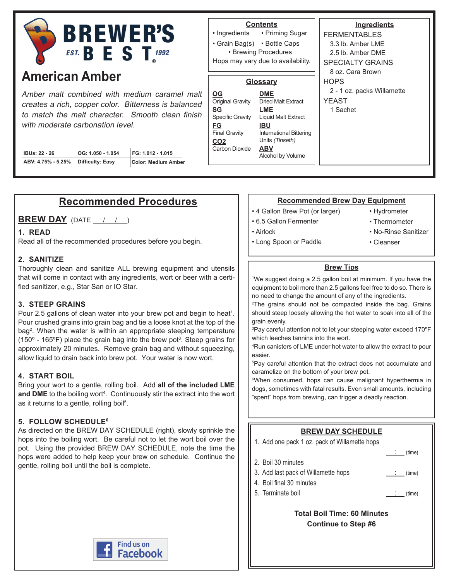

# **American Amber**

Amber malt combined with medium caramel malt creates a rich, copper color. Bitterness is balanced to match the malt character. Smooth clean finish with moderate carbonation level.

| <b>IBUs: 22 - 26</b>                  | $\vert$ OG: 1.050 - 1.054 | FG: 1.012 - 1.015   |
|---------------------------------------|---------------------------|---------------------|
| ABV: 4.75% - 5.25%   Difficulty: Easy |                           | Color: Medium Amber |

#### **Ingredients** FERMENTABLES 3.3 lb. Amber LME 2.5 lb. Amber DME SPECIALTY GRAINS 8 oz. Cara Brown **HOPS** 2 - 1 oz. packs Willamette YEAST 1 Sachet • Priming Sugar • Grain Bag(s) • Bottle Caps • Ingredients **Contents** • Brewing Procedures **Glossary DME** Dried Malt Extract **LME** Liquid Malt Extract **IBU** International Bittering Units (Tinseth) **ABV** Alcohol by Volume **OG** Original Gravity **SG** Specific Gravity **FG** Final Gravity **CO2** Carbon Dioxide Hops may vary due to availability.

# **Recommended Procedures**

**BREW DAY** (DATE / / )

#### **1. READ**

Read all of the recommended procedures before you begin.

#### **2. SANITIZE**

Thoroughly clean and sanitize ALL brewing equipment and utensils that will come in contact with any ingredients, wort or beer with a certified sanitizer, e.g., Star San or IO Star.

#### **3. STEEP GRAINS**

Pour 2.5 gallons of clean water into your brew pot and begin to heat<sup>1</sup>. Pour crushed grains into grain bag and tie a loose knot at the top of the bag<sup>2</sup>. When the water is within an appropriate steeping temperature (150 $\textdegree$  - 165 $\textdegree$ F) place the grain bag into the brew pot<sup>3</sup>. Steep grains for approximately 20 minutes. Remove grain bag and without squeezing, allow liquid to drain back into brew pot. Your water is now wort.

#### **4. START BOIL**

Bring your wort to a gentle, rolling boil. Add **all of the included LME**  and DME to the boiling wort<sup>4</sup>. Continuously stir the extract into the wort as it returns to a gentle, rolling boil<sup>5</sup>.

#### **5. FOLLOW SCHEDULE6**

As directed on the BREW DAY SCHEDULE (right), slowly sprinkle the hops into the boiling wort. Be careful not to let the wort boil over the pot. Using the provided BREW DAY SCHEDULE, note the time the hops were added to help keep your brew on schedule. Continue the gentle, rolling boil until the boil is complete.



#### **Recommended Brew Day Equipment**

- 4 Gallon Brew Pot (or larger)
- 6.5 Gallon Fermenter
- Airlock
- Hydrometer
- Thermometer

• Cleanser

- No-Rinse Sanitizer
- Long Spoon or Paddle

#### **Brew Tips**

1 We suggest doing a 2.5 gallon boil at minimum. If you have the equipment to boil more than 2.5 gallons feel free to do so. There is no need to change the amount of any of the ingredients.

<sup>2</sup>The grains should not be compacted inside the bag. Grains should steep loosely allowing the hot water to soak into all of the grain evenly.

3 Pay careful attention not to let your steeping water exceed 170ºF which leeches tannins into the wort.

4 Run canisters of LME under hot water to allow the extract to pour easier.

5 Pay careful attention that the extract does not accumulate and caramelize on the bottom of your brew pot.

6 When consumed, hops can cause malignant hyperthermia in dogs, sometimes with fatal results. Even small amounts, including "spent" hops from brewing, can trigger a deadly reaction.

#### **BREW DAY SCHEDULE** 1. Add one pack 1 oz. pack of Willamette hops  $_{\text{}}$  (time) 2. Boil 30 minutes 3. Add last pack of Willamette hops  $\qquad \qquad \qquad$  : (time) 4. Boil final 30 minutes 5. Terminate boil : (time) **Total Boil Time: 60 Minutes**

**Continue to Step #6**